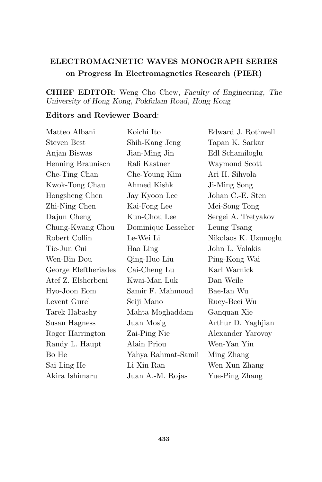## ELECTROMAGNETIC WAVES MONOGRAPH SERIES on Progress In Electromagnetics Research (PIER)

## CHIEF EDITOR: Weng Cho Chew, Faculty of Engineering, The University of Hong Kong, Pokfulam Road, Hong Kong

## Editors and Reviewer Board:

| Matteo Albani        | Koichi Ito          | Edward J. Rothwell   |
|----------------------|---------------------|----------------------|
| <b>Steven Best</b>   | Shih-Kang Jeng      | Tapan K. Sarkar      |
| Anjan Biswas         | Jian-Ming Jin       | Edl Schamiloglu      |
| Henning Braunisch    | Rafi Kastner        | Waymond Scott        |
| Che-Ting Chan        | Che-Young Kim       | Ari H. Sihvola       |
| Kwok-Tong Chau       | Ahmed Kishk         | Ji-Ming Song         |
| Hongsheng Chen       | Jay Kyoon Lee       | Johan C.-E. Sten     |
| Zhi-Ning Chen        | Kai-Fong Lee        | Mei-Song Tong        |
| Dajun Cheng          | Kun-Chou Lee        | Sergei A. Tretyakov  |
| Chung-Kwang Chou     | Dominique Lesselier | Leung Tsang          |
| Robert Collin        | Le-Wei Li           | Nikolaos K. Uzunoglu |
| Tie-Jun Cui          | Hao Ling            | John L. Volakis      |
| Wen-Bin Dou          | Qing-Huo Liu        | Ping-Kong Wai        |
| George Eleftheriades | Cai-Cheng Lu        | Karl Warnick         |
| Atef Z. Elsherbeni   | Kwai-Man Luk        | Dan Weile            |
| Hyo-Joon Eom         | Samir F. Mahmoud    | Bae-Ian Wu           |
| Levent Gurel         | Seiji Mano          | Ruey-Beei Wu         |
| Tarek Habashy        | Mahta Moghaddam     | Ganquan Xie          |
| Susan Hagness        | Juan Mosig          | Arthur D. Yaghjian   |
| Roger Harrington     | Zai-Ping Nie        | Alexander Yarovoy    |
| Randy L. Haupt       | Alain Priou         | Wen-Yan Yin          |
| Bo He                | Yahya Rahmat-Samii  | Ming Zhang           |
| Sai-Ling He          | Li-Xin Ran          | Wen-Xun Zhang        |
| Akira Ishimaru       | Juan A.-M. Rojas    | Yue-Ping Zhang       |
|                      |                     |                      |